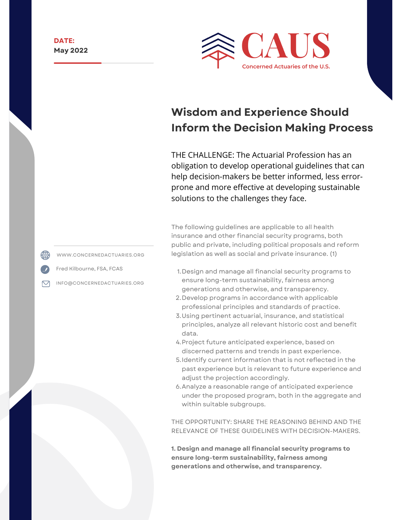

# **Wisdom and Experience Should Inform the Decision Making Process**

THE CHALLENGE: The Actuarial Profession has an obligation to develop operational guidelines that can help decision-makers be better informed, less errorprone and more effective at developing sustainable solutions to the challenges they face.

The following guidelines are applicable to all health insurance and other financial security programs, both public and private, including political proposals and reform legislation as well as social and private insurance. [\(1\)](http://www.concernedactuaries.org/index.php/digging-deeper/item/35-wisdom-and-experience-should-inform-the-decision-making-process#FN1)

- 1. Design and manage all financial security programs to ensure long-term sustainability, fairness among generations and otherwise, and transparency.
- 2. Develop programs in accordance with applicable professional principles and standards of practice.
- Using pertinent actuarial, insurance, and statistical 3. principles, analyze all relevant historic cost and benefit data.
- 4.Project future anticipated experience, based on discerned patterns and trends in past experience.
- 5. Identify current information that is not reflected in the past experience but is relevant to future experience and adjust the projection accordingly.
- Analyze a reasonable range of anticipated experience 6. under the proposed program, both in the aggregate and within suitable subgroups.

THE OPPORTUNITY: SHARE THE REASONING BEHIND AND THE RELEVANCE OF THESE GUIDELINES WITH DECISION-MAKERS.

**1. Design and manage all financial security programs to ensure long-term sustainability, fairness among generations and otherwise, and transparency.**

WWW.CONCERNEDACTUARIES.ORG

Fred Kilbourne, FSA, FCAS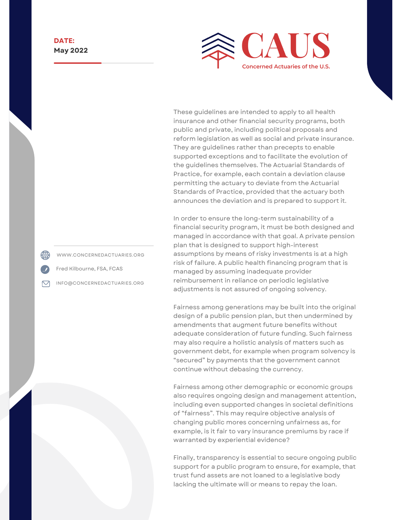

These guidelines are intended to apply to all health insurance and other financial security programs, both public and private, including political proposals and reform legislation as well as social and private insurance. They are guidelines rather than precepts to enable supported exceptions and to facilitate the evolution of the guidelines themselves. The Actuarial Standards of Practice, for example, each contain a deviation clause permitting the actuary to deviate from the Actuarial Standards of Practice, provided that the actuary both announces the deviation and is prepared to support it.

In order to ensure the long-term sustainability of a financial security program, it must be both designed and managed in accordance with that goal. A private pension plan that is designed to support high-interest assumptions by means of risky investments is at a high risk of failure. A public health financing program that is managed by assuming inadequate provider reimbursement in reliance on periodic legislative adjustments is not assured of ongoing solvency.

Fairness among generations may be built into the original design of a public pension plan, but then undermined by amendments that augment future benefits without adequate consideration of future funding. Such fairness may also require a holistic analysis of matters such as government debt, for example when program solvency is "secured" by payments that the government cannot continue without debasing the currency.

Fairness among other demographic or economic groups also requires ongoing design and management attention, including even supported changes in societal definitions of "fairness". This may require objective analysis of changing public mores concerning unfairness as, for example, is it fair to vary insurance premiums by race if warranted by experiential evidence?

Finally, transparency is essential to secure ongoing public support for a public program to ensure, for example, that trust fund assets are not loaned to a legislative body lacking the ultimate will or means to repay the loan.

WWW.CONCERNEDACTUARIES.ORG

Fred Kilbourne, FSA, FCAS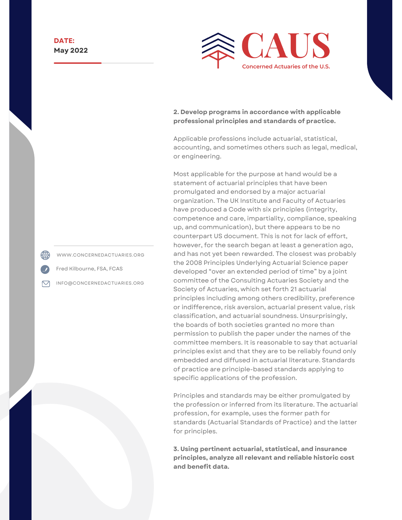

#### **2. Develop programs in accordance with applicable professional principles and standards of practice.**

Applicable professions include actuarial, statistical, accounting, and sometimes others such as legal, medical, or engineering.

Most applicable for the purpose at hand would be a statement of actuarial principles that have been promulgated and endorsed by a major actuarial organization. The UK Institute and Faculty of Actuaries have produced a Code with six principles (integrity, competence and care, impartiality, compliance, speaking up, and communication), but there appears to be no counterpart US document. This is not for lack of effort, however, for the search began at least a generation ago, and has not yet been rewarded. The closest was probably the 2008 Principles Underlying Actuarial Science paper developed "over an extended period of time" by a joint committee of the Consulting Actuaries Society and the Society of Actuaries, which set forth 21 actuarial principles including among others credibility, preference or indifference, risk aversion, actuarial present value, risk classification, and actuarial soundness. Unsurprisingly, the boards of both societies granted no more than permission to publish the paper under the names of the committee members. It is reasonable to say that actuarial principles exist and that they are to be reliably found only embedded and diffused in actuarial literature. Standards of practice are principle-based standards applying to specific applications of the profession.

Principles and standards may be either promulgated by the profession or inferred from its literature. The actuarial profession, for example, uses the former path for standards (Actuarial Standards of Practice) and the latter for principles.

**3. Using pertinent actuarial, statistical, and insurance principles, analyze all relevant and reliable historic cost and benefit data.**

WWW.CONCERNEDACTUARIES.ORG

Fred Kilbourne, FSA, FCAS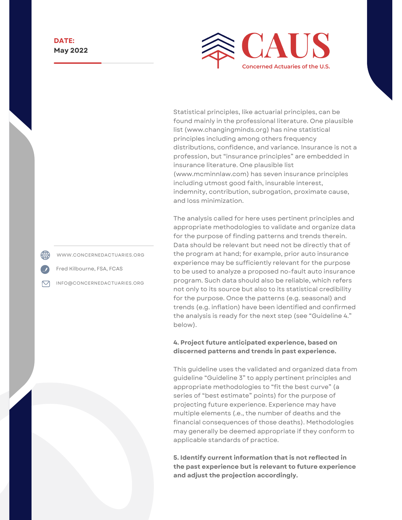

Statistical principles, like actuarial principles, can be found mainly in the professional literature. One plausible list ([www.changingminds.org](http://www.changingminds.org/)) has nine statistical principles including among others frequency distributions, confidence, and variance. Insurance is not a profession, but "insurance principles" are embedded in insurance literature. One plausible list [\(www.mcminnlaw.com](http://www.mcminnlaw.com/)) has seven insurance principles including utmost good faith, insurable interest, indemnity, contribution, subrogation, proximate cause, and loss minimization.

The analysis called for here uses pertinent principles and appropriate methodologies to validate and organize data for the purpose of finding patterns and trends therein. Data should be relevant but need not be directly that of the program at hand; for example, prior auto insurance experience may be sufficiently relevant for the purpose to be used to analyze a proposed no-fault auto insurance program. Such data should also be reliable, which refers not only to its source but also to its statistical credibility for the purpose. Once the patterns (e.g. seasonal) and trends (e.g. inflation) have been identified and confirmed the analysis is ready for the next step (see "Guideline 4." below).

#### **4. Project future anticipated experience, based on discerned patterns and trends in past experience.**

This guideline uses the validated and organized data from guideline "Guideline 3" to apply pertinent principles and appropriate methodologies to "fit the best curve" (a series of "best estimate" points) for the purpose of projecting future experience. Experience may have multiple elements (.e., the number of deaths and the financial consequences of those deaths). Methodologies may generally be deemed appropriate if they conform to applicable standards of practice.

**5. Identify current information that is not reflected in the past experience but is relevant to future experience and adjust the projection accordingly.**

WWW.CONCERNEDACTUARIES.ORG

Fred Kilbourne, FSA, FCAS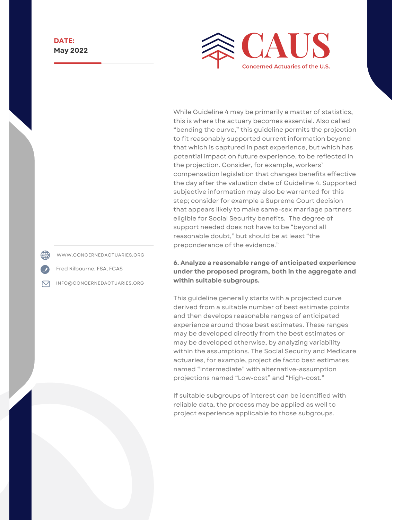

While Guideline 4 may be primarily a matter of statistics, this is where the actuary becomes essential. Also called "bending the curve," this guideline permits the projection to fit reasonably supported current information beyond that which is captured in past experience, but which has potential impact on future experience, to be reflected in the projection. Consider, for example, workers' compensation legislation that changes benefits effective the day after the valuation date of Guideline 4. Supported subjective information may also be warranted for this step; consider for example a Supreme Court decision that appears likely to make same-sex marriage partners eligible for Social Security benefits. The degree of support needed does not have to be "beyond all reasonable doubt," but should be at least "the preponderance of the evidence."

**6. Analyze a reasonable range of anticipated experience under the proposed program, both in the aggregate and within suitable subgroups.**

This guideline generally starts with a projected curve derived from a suitable number of best estimate points and then develops reasonable ranges of anticipated experience around those best estimates. These ranges may be developed directly from the best estimates or may be developed otherwise, by analyzing variability within the assumptions. The Social Security and Medicare actuaries, for example, project de facto best estimates named "Intermediate" with alternative-assumption projections named "Low-cost" and "High-cost."

If suitable subgroups of interest can be identified with reliable data, the process may be applied as well to project experience applicable to those subgroups.

WWW.CONCERNEDACTUARIES.ORG

Fred Kilbourne, FSA, FCAS